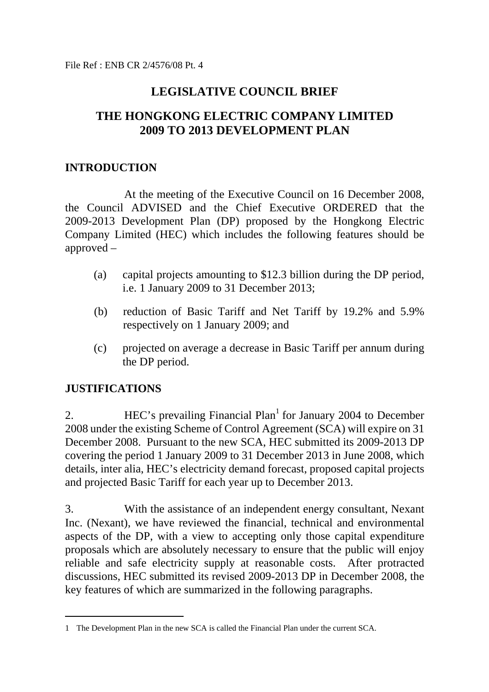# **LEGISLATIVE COUNCIL BRIEF**

# **THE HONGKONG ELECTRIC COMPANY LIMITED 2009 TO 2013 DEVELOPMENT PLAN**

#### **INTRODUCTION**

 At the meeting of the Executive Council on 16 December 2008, the Council ADVISED and the Chief Executive ORDERED that the 2009-2013 Development Plan (DP) proposed by the Hongkong Electric Company Limited (HEC) which includes the following features should be approved –

- (a) capital projects amounting to \$12.3 billion during the DP period, i.e. 1 January 2009 to 31 December 2013;
- (b) reduction of Basic Tariff and Net Tariff by 19.2% and 5.9% respectively on 1 January 2009; and
- (c) projected on average a decrease in Basic Tariff per annum during the DP period.

## **JUSTIFICATIONS**

 $\overline{a}$ 

2.  $\text{HEC's prevailing Financial Plan}^1$  for January 2004 to December 2008 under the existing Scheme of Control Agreement (SCA) will expire on 31 December 2008. Pursuant to the new SCA, HEC submitted its 2009-2013 DP covering the period 1 January 2009 to 31 December 2013 in June 2008, which details, inter alia, HEC's electricity demand forecast, proposed capital projects and projected Basic Tariff for each year up to December 2013.

3. With the assistance of an independent energy consultant, Nexant Inc. (Nexant), we have reviewed the financial, technical and environmental aspects of the DP, with a view to accepting only those capital expenditure proposals which are absolutely necessary to ensure that the public will enjoy reliable and safe electricity supply at reasonable costs. After protracted discussions, HEC submitted its revised 2009-2013 DP in December 2008, the key features of which are summarized in the following paragraphs.

<sup>1</sup> The Development Plan in the new SCA is called the Financial Plan under the current SCA.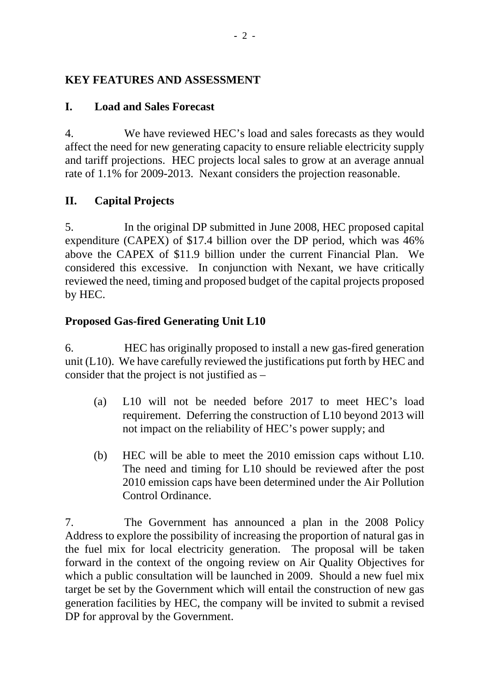## **KEY FEATURES AND ASSESSMENT**

## **I. Load and Sales Forecast**

4. We have reviewed HEC's load and sales forecasts as they would affect the need for new generating capacity to ensure reliable electricity supply and tariff projections. HEC projects local sales to grow at an average annual rate of 1.1% for 2009-2013. Nexant considers the projection reasonable.

## **II. Capital Projects**

5. In the original DP submitted in June 2008, HEC proposed capital expenditure (CAPEX) of \$17.4 billion over the DP period, which was 46% above the CAPEX of \$11.9 billion under the current Financial Plan. We considered this excessive. In conjunction with Nexant, we have critically reviewed the need, timing and proposed budget of the capital projects proposed by HEC.

## **Proposed Gas-fired Generating Unit L10**

6. HEC has originally proposed to install a new gas-fired generation unit (L10). We have carefully reviewed the justifications put forth by HEC and consider that the project is not justified as –

- (a) L10 will not be needed before 2017 to meet HEC's load requirement. Deferring the construction of L10 beyond 2013 will not impact on the reliability of HEC's power supply; and
- (b) HEC will be able to meet the 2010 emission caps without L10. The need and timing for L10 should be reviewed after the post 2010 emission caps have been determined under the Air Pollution Control Ordinance.

7. The Government has announced a plan in the 2008 Policy Address to explore the possibility of increasing the proportion of natural gas in the fuel mix for local electricity generation. The proposal will be taken forward in the context of the ongoing review on Air Quality Objectives for which a public consultation will be launched in 2009. Should a new fuel mix target be set by the Government which will entail the construction of new gas generation facilities by HEC, the company will be invited to submit a revised DP for approval by the Government.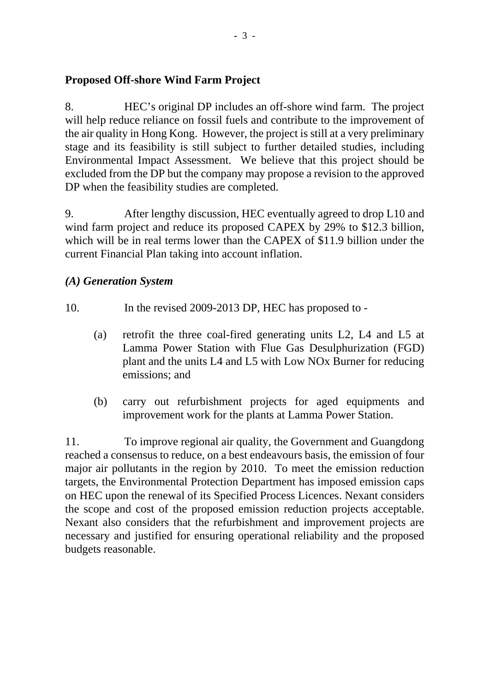#### **Proposed Off-shore Wind Farm Project**

8. HEC's original DP includes an off-shore wind farm. The project will help reduce reliance on fossil fuels and contribute to the improvement of the air quality in Hong Kong. However, the project is still at a very preliminary stage and its feasibility is still subject to further detailed studies, including Environmental Impact Assessment. We believe that this project should be excluded from the DP but the company may propose a revision to the approved DP when the feasibility studies are completed.

9. After lengthy discussion, HEC eventually agreed to drop L10 and wind farm project and reduce its proposed CAPEX by 29% to \$12.3 billion, which will be in real terms lower than the CAPEX of \$11.9 billion under the current Financial Plan taking into account inflation.

#### *(A) Generation System*

- 10. In the revised 2009-2013 DP, HEC has proposed to
	- (a) retrofit the three coal-fired generating units L2, L4 and L5 at Lamma Power Station with Flue Gas Desulphurization (FGD) plant and the units L4 and L5 with Low NOx Burner for reducing emissions; and
	- (b) carry out refurbishment projects for aged equipments and improvement work for the plants at Lamma Power Station.

11. To improve regional air quality, the Government and Guangdong reached a consensus to reduce, on a best endeavours basis, the emission of four major air pollutants in the region by 2010. To meet the emission reduction targets, the Environmental Protection Department has imposed emission caps on HEC upon the renewal of its Specified Process Licences. Nexant considers the scope and cost of the proposed emission reduction projects acceptable. Nexant also considers that the refurbishment and improvement projects are necessary and justified for ensuring operational reliability and the proposed budgets reasonable.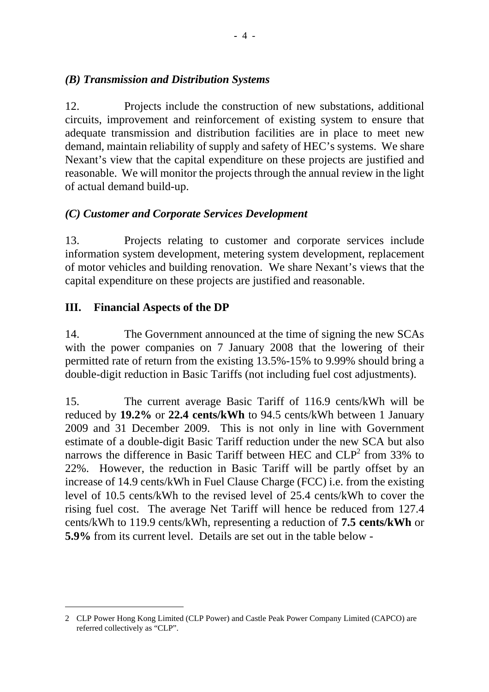#### *(B) Transmission and Distribution Systems*

12. Projects include the construction of new substations, additional circuits, improvement and reinforcement of existing system to ensure that adequate transmission and distribution facilities are in place to meet new demand, maintain reliability of supply and safety of HEC's systems. We share Nexant's view that the capital expenditure on these projects are justified and reasonable. We will monitor the projects through the annual review in the light of actual demand build-up.

## *(C) Customer and Corporate Services Development*

13. Projects relating to customer and corporate services include information system development, metering system development, replacement of motor vehicles and building renovation. We share Nexant's views that the capital expenditure on these projects are justified and reasonable.

## **III. Financial Aspects of the DP**

l

14. The Government announced at the time of signing the new SCAs with the power companies on 7 January 2008 that the lowering of their permitted rate of return from the existing 13.5%-15% to 9.99% should bring a double-digit reduction in Basic Tariffs (not including fuel cost adjustments).

15. The current average Basic Tariff of 116.9 cents/kWh will be reduced by **19.2%** or **22.4 cents/kWh** to 94.5 cents/kWh between 1 January 2009 and 31 December 2009. This is not only in line with Government estimate of a double-digit Basic Tariff reduction under the new SCA but also narrows the difference in Basic Tariff between HEC and  $CLP<sup>2</sup>$  from 33% to 22%. However, the reduction in Basic Tariff will be partly offset by an increase of 14.9 cents/kWh in Fuel Clause Charge (FCC) i.e. from the existing level of 10.5 cents/kWh to the revised level of 25.4 cents/kWh to cover the rising fuel cost. The average Net Tariff will hence be reduced from 127.4 cents/kWh to 119.9 cents/kWh, representing a reduction of **7.5 cents/kWh** or **5.9%** from its current level. Details are set out in the table below -

<sup>2</sup> CLP Power Hong Kong Limited (CLP Power) and Castle Peak Power Company Limited (CAPCO) are referred collectively as "CLP".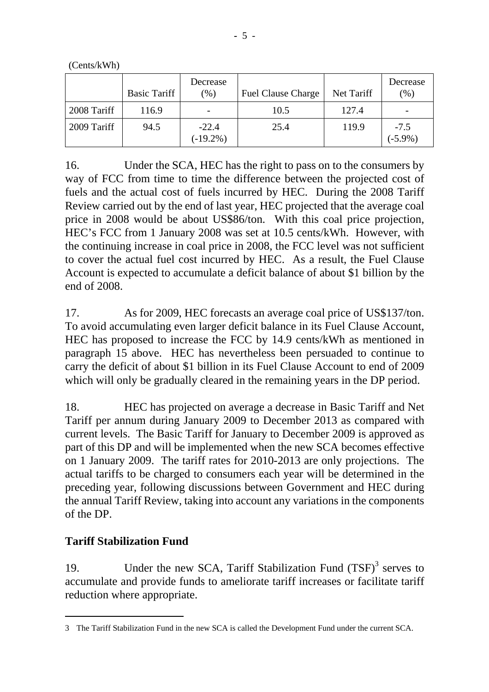(Cents/kWh)

|             | <b>Basic Tariff</b> | Decrease<br>(%)        | <b>Fuel Clause Charge</b> | Net Tariff | Decrease<br>(96)     |
|-------------|---------------------|------------------------|---------------------------|------------|----------------------|
| 2008 Tariff | 116.9               |                        | 10.5                      | 127.4      |                      |
| 2009 Tariff | 94.5                | $-22.4$<br>$(-19.2\%)$ | 25.4                      | 119.9      | $-7.5$<br>$(-5.9\%)$ |

16. Under the SCA, HEC has the right to pass on to the consumers by way of FCC from time to time the difference between the projected cost of fuels and the actual cost of fuels incurred by HEC. During the 2008 Tariff Review carried out by the end of last year, HEC projected that the average coal price in 2008 would be about US\$86/ton. With this coal price projection, HEC's FCC from 1 January 2008 was set at 10.5 cents/kWh. However, with the continuing increase in coal price in 2008, the FCC level was not sufficient to cover the actual fuel cost incurred by HEC. As a result, the Fuel Clause Account is expected to accumulate a deficit balance of about \$1 billion by the end of 2008.

17. As for 2009, HEC forecasts an average coal price of US\$137/ton. To avoid accumulating even larger deficit balance in its Fuel Clause Account, HEC has proposed to increase the FCC by 14.9 cents/kWh as mentioned in paragraph 15 above. HEC has nevertheless been persuaded to continue to carry the deficit of about \$1 billion in its Fuel Clause Account to end of 2009 which will only be gradually cleared in the remaining years in the DP period.

18. HEC has projected on average a decrease in Basic Tariff and Net Tariff per annum during January 2009 to December 2013 as compared with current levels. The Basic Tariff for January to December 2009 is approved as part of this DP and will be implemented when the new SCA becomes effective on 1 January 2009. The tariff rates for 2010-2013 are only projections. The actual tariffs to be charged to consumers each year will be determined in the preceding year, following discussions between Government and HEC during the annual Tariff Review, taking into account any variations in the components of the DP.

#### **Tariff Stabilization Fund**

 $\overline{a}$ 

19. Under the new SCA, Tariff Stabilization Fund  $(TSF)^3$  serves to accumulate and provide funds to ameliorate tariff increases or facilitate tariff reduction where appropriate.

<sup>3</sup> The Tariff Stabilization Fund in the new SCA is called the Development Fund under the current SCA.